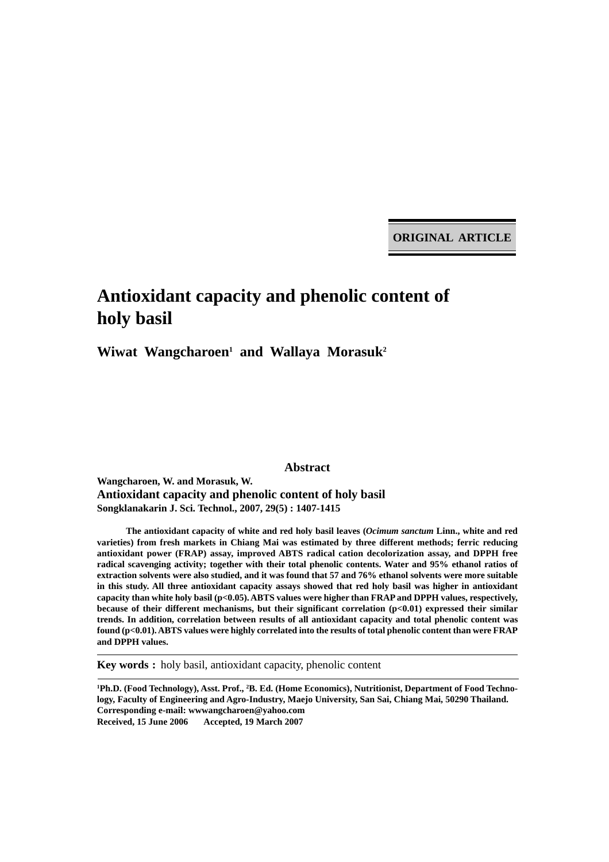**ORIGINAL ARTICLE**

# **Antioxidant capacity and phenolic content of holy basil**

Wiwat Wangcharoen<sup>1</sup> and Wallaya Morasuk<sup>2</sup>

**Abstract**

**Wangcharoen, W. and Morasuk, W. Antioxidant capacity and phenolic content of holy basil Songklanakarin J. Sci. Technol., 2007, 29(5) : 1407-1415**

**The antioxidant capacity of white and red holy basil leaves (***Ocimum sanctum* **Linn., white and red varieties) from fresh markets in Chiang Mai was estimated by three different methods; ferric reducing antioxidant power (FRAP) assay, improved ABTS radical cation decolorization assay, and DPPH free radical scavenging activity; together with their total phenolic contents. Water and 95% ethanol ratios of extraction solvents were also studied, and it was found that 57 and 76% ethanol solvents were more suitable in this study. All three antioxidant capacity assays showed that red holy basil was higher in antioxidant capacity than white holy basil (p<0.05). ABTS values were higher than FRAP and DPPH values, respectively, because of their different mechanisms, but their significant correlation (p<0.01) expressed their similar trends. In addition, correlation between results of all antioxidant capacity and total phenolic content was found (p<0.01). ABTS values were highly correlated into the results of total phenolic content than were FRAP and DPPH values.**

**Key words :** holy basil, antioxidant capacity, phenolic content

<sup>1</sup>Ph.D. (Food Technology), Asst. Prof., <sup>2</sup>B. Ed. (Home Economics), Nutritionist, Department of Food Techno**logy, Faculty of Engineering and Agro-Industry, Maejo University, San Sai, Chiang Mai, 50290 Thailand. Corresponding e-mail: wwwangcharoen@yahoo.com Received, 15 June 2006 Accepted, 19 March 2007**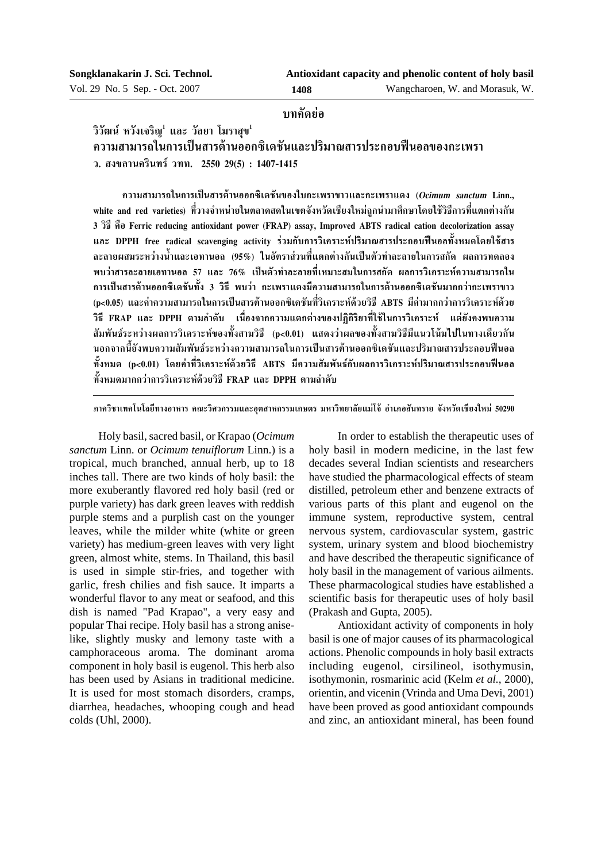# **∫∑§—¥¬àÕ**

วิวัฒน์ หวังเจริญ<sup>!</sup> และ วัลยา โมราสุข<sup>!</sup> ึ ความสามารถในการเป็นสารต้านออกซิเดชันและปริมาณสารประกอบฟืนอลของกะเพรา **«. ߢ≈"π§√'π∑√å «∑∑. 2550 29(5) : 1407-1415**

**§«"¡ "¡"√∂"π°"√‡ªìπ "√µâ"πÕÕ°´'‡¥™—π¢Õß"∫°–‡æ√"¢"«·≈–°–‡æ√"·¥ß (Ocimum sanctum Linn.,** white and red varieties) ที่วางจำหน่ายในตลาดสดในเขตจังหวัดเชียงใหม่ถกนำมาศึกษาโดยใช้วิธีการที่แตกต่างกัน **3 «'∏' §◊Õ Ferric reducing antioxidant power (FRAP) assay, Improved ABTS radical cation decolorization assay ·≈– DPPH free radical scavenging activity √à«¡°—∫°"√«'‡§√"–Àåª√'¡"≥ "√ª√–°Õ∫øïπÕ≈∑—ÈßÀ¡¥'¥¬"™â "√ ≈–≈"¬º ¡√–À«à"ßπÈ"·≈–‡Õ∑"πÕ≈ (95%) "πÕ—µ√" à«π∑'Ë·µ°µà"ß°—π‡ªìπµ—«∑"≈–≈"¬"π°"√ °—¥ º≈°"√∑¥≈Õß** พบว่าสารละลายเอทานอล *5*7 และ 76% เป็นตัวทำละลายที่เหมาะสมในการสกัด ผลการวิเคราะห์ความสามารถใน ึ การเป็นสารต้านออกซิเดชันทั้ง 3 วิธี พบว่า กะเพราแดงมีความสามารถในการต้านออกซิเดชันมากกว่ากะเพราขาว (p<0.05) และค่าความสามารถในการเป็นสารต้านออกซิเดชันที่วิเคราะห์ด้วยวิธี ABTS มีค่ามากกว่าการวิเคราะห์ด้วย วิธี FRAP และ DPPH ตามลำดับ เนื่องจากความแตกต่างของปฏิกิริยาที่ใช้ในการวิเคราะห์ แต่ยังคงพบความ ์สัมพันธ์ระหว่างผลการวิเคราะห์ของทั้งสามวิธี (p<0.01) แสดงว่าผลของทั้งสามวิธีมีแนวโน้มไปในทางเดียวกัน นอกจากนี้ยังพบความสัมพันธ์ระหว่างความสามารถในการเป็นสารต้านออกซิเดชันและปริมาณสารประกอบฟืนอล ์ทั้งหมด (p<0.01) โดยค่าที่วิเคราะห์ด้วยวิธี ABTS มีความสัมพันธ์กับผลการวิเคราะห์ปริมาณสารประกอบฟืนอล ์<br>ทั้งหมดมากกว่าการวิเคราะห์ด้วยวิธี FRAP และ DPPH ตามลำดับ

ภาควิชาเทคโนโลยีทางอาหาร คณะวิศวกรรมและอตสาหกรรมเกษตร มหาวิทยาลัยแม่โจ้ อำเภอสันทราย จังหวัดเชียงใหม่ 50290

Holy basil, sacred basil, or Krapao (*Ocimum sanctum* Linn. or *Ocimum tenuiflorum* Linn.) is a tropical, much branched, annual herb, up to 18 inches tall. There are two kinds of holy basil: the more exuberantly flavored red holy basil (red or purple variety) has dark green leaves with reddish purple stems and a purplish cast on the younger leaves, while the milder white (white or green variety) has medium-green leaves with very light green, almost white, stems. In Thailand, this basil is used in simple stir-fries, and together with garlic, fresh chilies and fish sauce. It imparts a wonderful flavor to any meat or seafood, and this dish is named "Pad Krapao", a very easy and popular Thai recipe. Holy basil has a strong aniselike, slightly musky and lemony taste with a camphoraceous aroma. The dominant aroma component in holy basil is eugenol. This herb also has been used by Asians in traditional medicine. It is used for most stomach disorders, cramps, diarrhea, headaches, whooping cough and head colds (Uhl, 2000).

In order to establish the therapeutic uses of holy basil in modern medicine, in the last few decades several Indian scientists and researchers have studied the pharmacological effects of steam distilled, petroleum ether and benzene extracts of various parts of this plant and eugenol on the immune system, reproductive system, central nervous system, cardiovascular system, gastric system, urinary system and blood biochemistry and have described the therapeutic significance of holy basil in the management of various ailments. These pharmacological studies have established a scientific basis for therapeutic uses of holy basil (Prakash and Gupta, 2005).

Antioxidant activity of components in holy basil is one of major causes of its pharmacological actions. Phenolic compounds in holy basil extracts including eugenol, cirsilineol, isothymusin, isothymonin, rosmarinic acid (Kelm *et al.*, 2000), orientin, and vicenin (Vrinda and Uma Devi, 2001) have been proved as good antioxidant compounds and zinc, an antioxidant mineral, has been found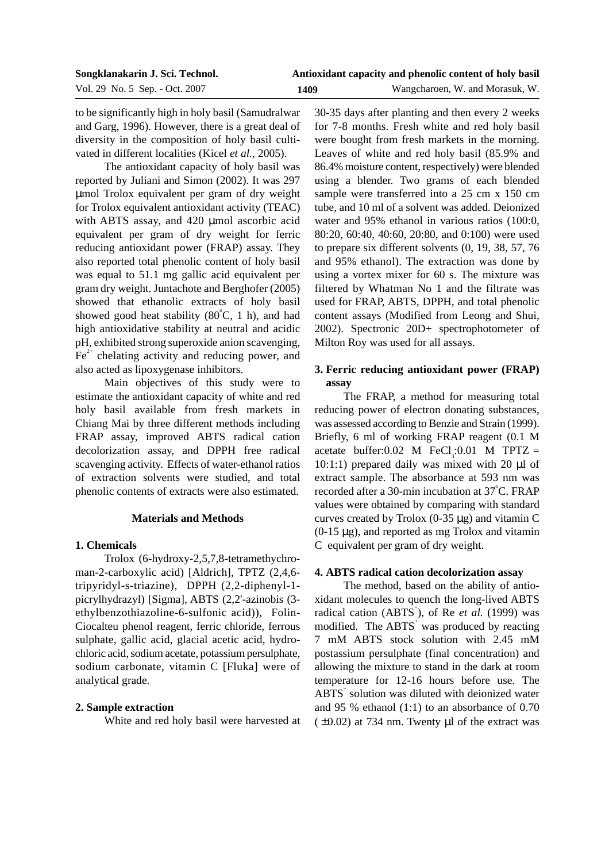| Songklanakarin J. Sci. Technol. | Antioxidant capacity and phenolic content of holy basil |                                 |  |
|---------------------------------|---------------------------------------------------------|---------------------------------|--|
| Vol. 29 No. 5 Sep. - Oct. 2007  | 1409                                                    | Wangcharoen, W. and Morasuk, W. |  |

to be significantly high in holy basil (Samudralwar and Garg, 1996). However, there is a great deal of diversity in the composition of holy basil cultivated in different localities (Kicel *et al.*, 2005).

The antioxidant capacity of holy basil was reported by Juliani and Simon (2002). It was 297 µmol Trolox equivalent per gram of dry weight for Trolox equivalent antioxidant activity (TEAC) with ABTS assay, and 420 µmol ascorbic acid equivalent per gram of dry weight for ferric reducing antioxidant power (FRAP) assay. They also reported total phenolic content of holy basil was equal to 51.1 mg gallic acid equivalent per gram dry weight. Juntachote and Berghofer (2005) showed that ethanolic extracts of holy basil showed good heat stability  $(80^{\circ}C, 1 h)$ , and had high antioxidative stability at neutral and acidic pH, exhibited strong superoxide anion scavenging,  $Fe<sup>2+</sup>$  chelating activity and reducing power, and also acted as lipoxygenase inhibitors.

Main objectives of this study were to estimate the antioxidant capacity of white and red holy basil available from fresh markets in Chiang Mai by three different methods including FRAP assay, improved ABTS radical cation decolorization assay, and DPPH free radical scavenging activity. Effects of water-ethanol ratios of extraction solvents were studied, and total phenolic contents of extracts were also estimated.

## **Materials and Methods**

# **1. Chemicals**

Trolox (6-hydroxy-2,5,7,8-tetramethychroman-2-carboxylic acid) [Aldrich], TPTZ (2,4,6 tripyridyl-s-triazine), DPPH (2,2-diphenyl-1 picrylhydrazyl) [Sigma], ABTS (2,2'-azinobis (3 ethylbenzothiazoline-6-sulfonic acid)), Folin-Ciocalteu phenol reagent, ferric chloride, ferrous sulphate, gallic acid, glacial acetic acid, hydrochloric acid, sodium acetate, potassium persulphate, sodium carbonate, vitamin C [Fluka] were of analytical grade.

# **2. Sample extraction**

White and red holy basil were harvested at

30-35 days after planting and then every 2 weeks for 7-8 months. Fresh white and red holy basil were bought from fresh markets in the morning. Leaves of white and red holy basil (85.9% and 86.4% moisture content, respectively) were blended using a blender. Two grams of each blended sample were transferred into a 25 cm x 150 cm tube, and 10 ml of a solvent was added. Deionized water and 95% ethanol in various ratios (100:0, 80:20, 60:40, 40:60, 20:80, and 0:100) were used to prepare six different solvents (0, 19, 38, 57, 76 and 95% ethanol). The extraction was done by using a vortex mixer for 60 s. The mixture was filtered by Whatman No 1 and the filtrate was used for FRAP, ABTS, DPPH, and total phenolic content assays (Modified from Leong and Shui, 2002). Spectronic 20D+ spectrophotometer of Milton Roy was used for all assays.

# **3. Ferric reducing antioxidant power (FRAP) assay**

The FRAP, a method for measuring total reducing power of electron donating substances, was assessed according to Benzie and Strain (1999). Briefly, 6 ml of working FRAP reagent (0.1 M acetate buffer:0.02 M FeCl<sub>3</sub>:0.01 M TPTZ = 10:1:1) prepared daily was mixed with 20  $\mu$ l of extract sample. The absorbance at 593 nm was recorded after a 30-min incubation at 37°C. FRAP values were obtained by comparing with standard curves created by Trolox  $(0-35 \mu g)$  and vitamin C  $(0-15 \mu g)$ , and reported as mg Trolox and vitamin C equivalent per gram of dry weight.

# **4. ABTS radical cation decolorization assay**

The method, based on the ability of antioxidant molecules to quench the long-lived ABTS radical cation (ABTS<sup>+</sup>), of Re *et al.* (1999) was modified. The ABTS<sup>+</sup> was produced by reacting 7 mM ABTS stock solution with 2.45 mM postassium persulphate (final concentration) and allowing the mixture to stand in the dark at room temperature for 12-16 hours before use. The ABTS<sup>+</sup> solution was diluted with deionized water and 95 % ethanol (1:1) to an absorbance of 0.70  $(\pm 0.02)$  at 734 nm. Twenty µl of the extract was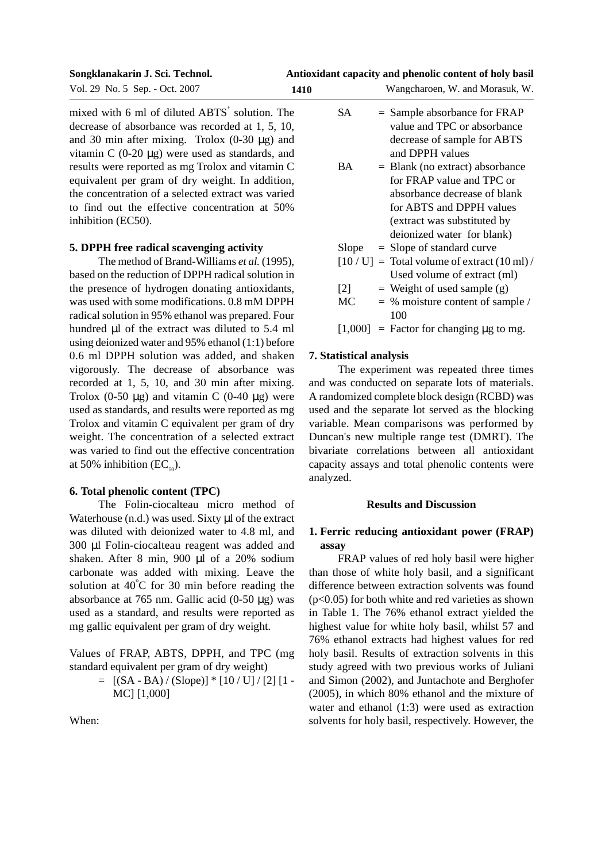#### **Antioxidant capacity and phenolic content of holy basil**

**Songklanakarin J. Sci. Technol.**

inhibition (EC50).

|  |  | Vol. 29 No. 5 Sep. - Oct. 2007 | 1410 |
|--|--|--------------------------------|------|
|--|--|--------------------------------|------|

mixed with 6 ml of diluted  $ABTS<sup>+</sup>$  solution. The decrease of absorbance was recorded at 1, 5, 10, and 30 min after mixing. Trolox  $(0-30 \mu g)$  and vitamin C  $(0-20 \mu g)$  were used as standards, and results were reported as mg Trolox and vitamin C equivalent per gram of dry weight. In addition, the concentration of a selected extract was varied to find out the effective concentration at 50%

# **5. DPPH free radical scavenging activity**

The method of Brand-Williams *et al.* (1995), based on the reduction of DPPH radical solution in the presence of hydrogen donating antioxidants, was used with some modifications. 0.8 mM DPPH radical solution in 95% ethanol was prepared. Four hundred µl of the extract was diluted to 5.4 ml using deionized water and 95% ethanol (1:1) before 0.6 ml DPPH solution was added, and shaken vigorously. The decrease of absorbance was recorded at 1, 5, 10, and 30 min after mixing. Trolox  $(0-50 \mu g)$  and vitamin C  $(0-40 \mu g)$  were used as standards, and results were reported as mg Trolox and vitamin C equivalent per gram of dry weight. The concentration of a selected extract was varied to find out the effective concentration at 50% inhibition (EC $_{\epsilon_{0}}$ ).

# **6. Total phenolic content (TPC)**

The Folin-ciocalteau micro method of Waterhouse (n.d.) was used. Sixty µl of the extract was diluted with deionized water to 4.8 ml, and 300 µl Folin-ciocalteau reagent was added and shaken. After 8 min, 900 µl of a 20% sodium carbonate was added with mixing. Leave the solution at  $40^{\circ}$ C for 30 min before reading the absorbance at 765 nm. Gallic acid  $(0-50 \mu g)$  was used as a standard, and results were reported as mg gallic equivalent per gram of dry weight.

Values of FRAP, ABTS, DPPH, and TPC (mg standard equivalent per gram of dry weight)

> $=$  [(SA - BA) / (Slope)] \* [10 / U] / [2] [1 -MC] [1,000]

When:

| <b>SA</b> | $=$ Sample absorbance for FRAP |
|-----------|--------------------------------|
|           | value and TPC or absorbance    |
|           | decrease of sample for ABTS    |
|           | and DPPH values                |

Wangcharoen, W. and Morasuk, W.

- $BA = Blank (no extract) absorbance$ for FRAP value and TPC or absorbance decrease of blank for ABTS and DPPH values (extract was substituted by deionized water for blank)
- Slope  $=$  Slope of standard curve
- $[10 / U] = \text{Total volume of extract} (10 \text{ ml}) /$ Used volume of extract (ml)
- [2]  $=$  Weight of used sample (g)
- $MC = % moisture content of sample /$ 100

 $[1,000]$  = Factor for changing  $\mu$ g to mg.

## **7. Statistical analysis**

The experiment was repeated three times and was conducted on separate lots of materials. A randomized complete block design (RCBD) was used and the separate lot served as the blocking variable. Mean comparisons was performed by Duncan's new multiple range test (DMRT). The bivariate correlations between all antioxidant capacity assays and total phenolic contents were analyzed.

## **Results and Discussion**

# **1. Ferric reducing antioxidant power (FRAP) assay**

FRAP values of red holy basil were higher than those of white holy basil, and a significant difference between extraction solvents was found  $(p<0.05)$  for both white and red varieties as shown in Table 1. The 76% ethanol extract yielded the highest value for white holy basil, whilst 57 and 76% ethanol extracts had highest values for red holy basil. Results of extraction solvents in this study agreed with two previous works of Juliani and Simon (2002), and Juntachote and Berghofer (2005), in which 80% ethanol and the mixture of water and ethanol (1:3) were used as extraction solvents for holy basil, respectively. However, the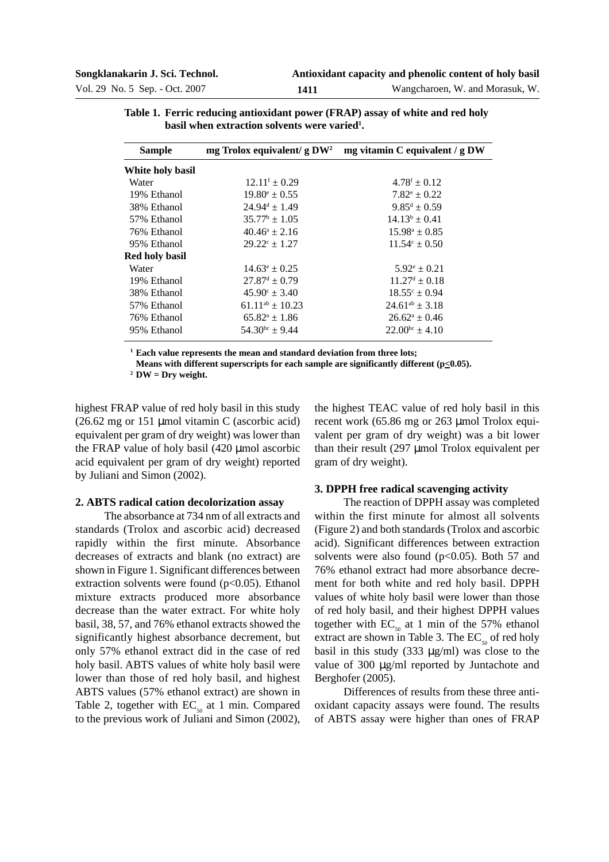| <b>Sample</b>         | mg Trolox equivalent/ g DW <sup>2</sup> | mg vitamin C equivalent / g DW |
|-----------------------|-----------------------------------------|--------------------------------|
| White holy basil      |                                         |                                |
| Water                 | $12.11^f \pm 0.29$                      | $4.78^{\rm f} \pm 0.12$        |
| 19% Ethanol           | $19.80^{\circ} \pm 0.55$                | $7.82^{\circ} \pm 0.22$        |
| 38% Ethanol           | $24.94^d \pm 1.49$                      | $9.85^d \pm 0.59$              |
| 57% Ethanol           | $35.77^{\rm b} \pm 1.05$                | $14.13^b \pm 0.41$             |
| 76% Ethanol           | $40.46^a \pm 2.16$                      | $15.98^a \pm 0.85$             |
| 95% Ethanol           | $29.22^{\circ}$ ± 1.27                  | $11.54^{\circ} \pm 0.50$       |
| <b>Red holy basil</b> |                                         |                                |
| Water                 | $14.63^{\circ} \pm 0.25$                | $5.92^{\circ} \pm 0.21$        |
| 19% Ethanol           | $27.87^{\text{d}} \pm 0.79$             | $11.27^d \pm 0.18$             |
| 38% Ethanol           | $45.90^{\circ} \pm 3.40$                | $18.55^{\circ} \pm 0.94$       |
| 57% Ethanol           | $61.11^{ab} \pm 10.23$                  | $24.61^{ab} \pm 3.18$          |
| 76% Ethanol           | $65.82^{\circ} \pm 1.86$                | $26.62^{\circ} \pm 0.46$       |
| 95% Ethanol           | $54.30^{bc} \pm 9.44$                   | $22.00^{bc} \pm 4.10$          |
|                       |                                         |                                |

**Table 1. Ferric reducing antioxidant power (FRAP) assay of white and red holy** basil when extraction solvents were varied<sup>1</sup>.

**<sup>1</sup> Each value represents the mean and standard deviation from three lots;**

**Means with different superscripts for each sample are significantly different (** $p \le 0.05$ **).** 

**<sup>2</sup> DW = Dry weight.**

highest FRAP value of red holy basil in this study (26.62 mg or 151 µmol vitamin C (ascorbic acid) equivalent per gram of dry weight) was lower than the FRAP value of holy basil (420 µmol ascorbic acid equivalent per gram of dry weight) reported by Juliani and Simon (2002).

# the highest TEAC value of red holy basil in this recent work (65.86 mg or 263 µmol Trolox equivalent per gram of dry weight) was a bit lower than their result (297 µmol Trolox equivalent per gram of dry weight).

#### **2. ABTS radical cation decolorization assay**

The absorbance at 734 nm of all extracts and standards (Trolox and ascorbic acid) decreased rapidly within the first minute. Absorbance decreases of extracts and blank (no extract) are shown in Figure 1. Significant differences between extraction solvents were found  $(p<0.05)$ . Ethanol mixture extracts produced more absorbance decrease than the water extract. For white holy basil, 38, 57, and 76% ethanol extracts showed the significantly highest absorbance decrement, but only 57% ethanol extract did in the case of red holy basil. ABTS values of white holy basil were lower than those of red holy basil, and highest ABTS values (57% ethanol extract) are shown in Table 2, together with  $EC_{50}$  at 1 min. Compared to the previous work of Juliani and Simon (2002),

**3. DPPH free radical scavenging activity**

The reaction of DPPH assay was completed within the first minute for almost all solvents (Figure 2) and both standards (Trolox and ascorbic acid). Significant differences between extraction solvents were also found  $(p<0.05)$ . Both 57 and 76% ethanol extract had more absorbance decrement for both white and red holy basil. DPPH values of white holy basil were lower than those of red holy basil, and their highest DPPH values together with  $EC_{50}$  at 1 min of the 57% ethanol extract are shown in Table 3. The  $EC_{so}$  of red holy basil in this study  $(333 \text{ µg/ml})$  was close to the value of 300 µg/ml reported by Juntachote and Berghofer (2005).

Differences of results from these three antioxidant capacity assays were found. The results of ABTS assay were higher than ones of FRAP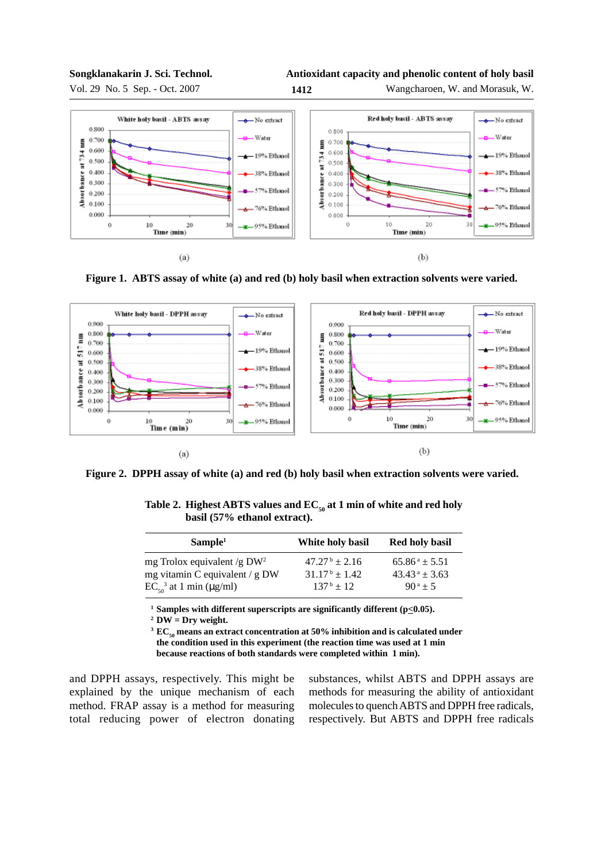#### **Songklanakarin J. Sci. Technol.**



Vol. 29 No. 5 Sep. - Oct. 2007 **1412**



Wangcharoen, W. and Morasuk, W.







**Figure 2. DPPH assay of white (a) and red (b) holy basil when extraction solvents were varied.**

| Sample <sup>1</sup>                                                                             | White holy basil                                                      | <b>Red holy basil</b>                                                     |  |
|-------------------------------------------------------------------------------------------------|-----------------------------------------------------------------------|---------------------------------------------------------------------------|--|
| mg Trolox equivalent/g $DW^2$<br>mg vitamin C equivalent / g DW<br>$EC_{50}^3$ at 1 min (µg/ml) | $47.27^{\mathrm{b}} \pm 2.16$<br>$31.17^b + 1.42$<br>$137^{\rm b}+12$ | $65.86^a \pm 5.51$<br>$43.43^{\text{ a}} \pm 3.63$<br>$90^{\text{a}} + 5$ |  |
|                                                                                                 |                                                                       |                                                                           |  |

Table 2. Highest ABTS values and  $EC_{50}$  at 1 min of white and red holy **basil (57% ethanol extract).**

<sup>1</sup> Samples with different superscripts are significantly different  $(p \le 0.05)$ .

**<sup>2</sup> DW = Dry weight.**

 $3 \text{ EC}_{50}$  means an extract concentration at 50% inhibition and is calculated under **the condition used in this experiment (the reaction time was used at 1 min because reactions of both standards were completed within 1 min).**

and DPPH assays, respectively. This might be explained by the unique mechanism of each method. FRAP assay is a method for measuring total reducing power of electron donating substances, whilst ABTS and DPPH assays are methods for measuring the ability of antioxidant molecules to quench ABTS and DPPH free radicals, respectively. But ABTS and DPPH free radicals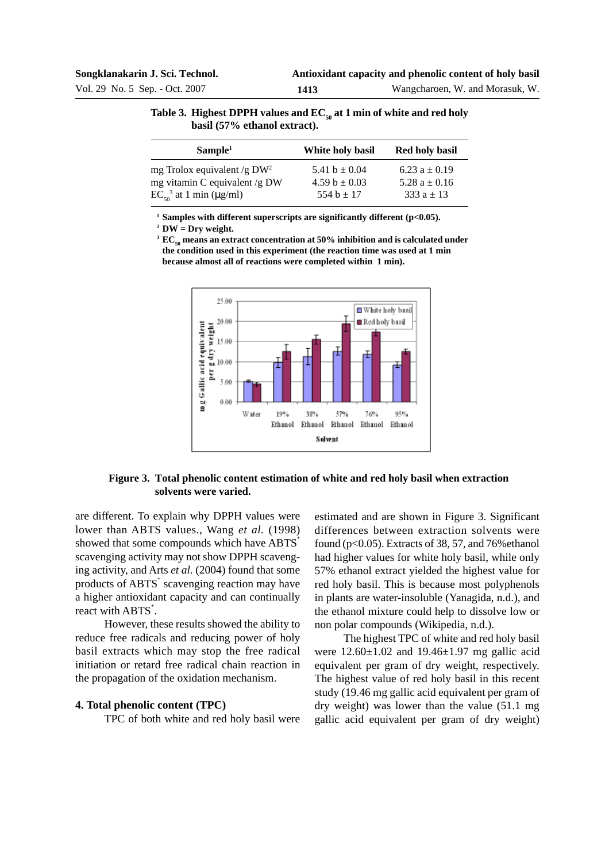| Table 3. Highest DPPH values and $EC_{\alpha}$ at 1 min of white and red holy |
|-------------------------------------------------------------------------------|
| basil (57% ethanol extract).                                                  |

| Sample <sup>1</sup>                                             | White holy basil                       | <b>Red holy basil</b>                  |
|-----------------------------------------------------------------|----------------------------------------|----------------------------------------|
| mg Trolox equivalent /g $DW^2$<br>mg vitamin C equivalent /g DW | 5.41 $b \pm 0.04$<br>4.59 $b \pm 0.03$ | 6.23 $a \pm 0.19$<br>5.28 $a \pm 0.16$ |
| $EC_{50}^3$ at 1 min (µg/ml)                                    | 554 b $\pm$ 17                         | 333 $a \pm 13$                         |

**<sup>1</sup> Samples with different superscripts are significantly different (p<0.05).**

**<sup>2</sup> DW = Dry weight.**

<sup>3</sup>  $\text{EC}_{50}$  means an extract concentration at 50% inhibition and is calculated under **the condition used in this experiment (the reaction time was used at 1 min because almost all of reactions were completed within 1 min).**



# **Figure 3. Total phenolic content estimation of white and red holy basil when extraction solvents were varied.**

are different. To explain why DPPH values were lower than ABTS values., Wang *et al.* (1998) showed that some compounds which have ABTS<sup>+</sup> scavenging activity may not show DPPH scavenging activity, and Arts *et al.* (2004) found that some products of ABTS<sup>+</sup> scavenging reaction may have a higher antioxidant capacity and can continually react with ABTS<sup>+</sup>.

However, these results showed the ability to reduce free radicals and reducing power of holy basil extracts which may stop the free radical initiation or retard free radical chain reaction in the propagation of the oxidation mechanism.

## **4. Total phenolic content (TPC)**

TPC of both white and red holy basil were

estimated and are shown in Figure 3. Significant differences between extraction solvents were found ( $p<0.05$ ). Extracts of 38, 57, and 76% ethanol had higher values for white holy basil, while only 57% ethanol extract yielded the highest value for red holy basil. This is because most polyphenols in plants are water-insoluble (Yanagida, n.d.), and the ethanol mixture could help to dissolve low or non polar compounds (Wikipedia, n.d.).

The highest TPC of white and red holy basil were 12.60±1.02 and 19.46±1.97 mg gallic acid equivalent per gram of dry weight, respectively. The highest value of red holy basil in this recent study (19.46 mg gallic acid equivalent per gram of dry weight) was lower than the value (51.1 mg gallic acid equivalent per gram of dry weight)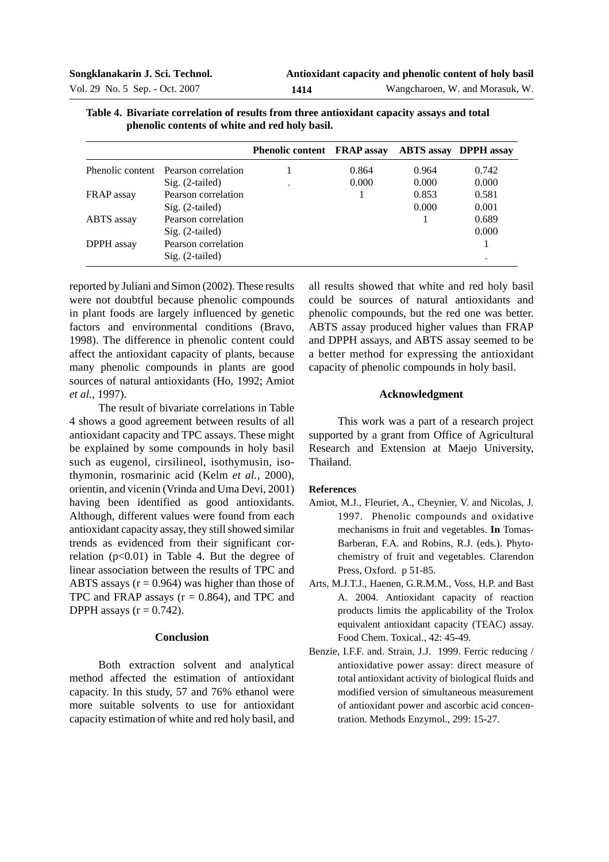| <u>Distribute correlation or results if one three universitating cupucity though them total</u><br>phenolic contents of white and red holy basil. |                                      |                                    |       |                              |       |
|---------------------------------------------------------------------------------------------------------------------------------------------------|--------------------------------------|------------------------------------|-------|------------------------------|-------|
|                                                                                                                                                   |                                      | <b>Phenolic content FRAP assay</b> |       | <b>ABTS</b> assay DPPH assay |       |
|                                                                                                                                                   | Phenolic content Pearson correlation |                                    | 0.864 | 0.964                        | 0.742 |
|                                                                                                                                                   | $Sig. (2-tailed)$                    |                                    | 0.000 | 0.000                        | 0.000 |
| FRAP assay                                                                                                                                        | Pearson correlation                  |                                    |       | 0.853                        | 0.581 |
|                                                                                                                                                   | $Sig. (2-tailed)$                    |                                    |       | 0.000                        | 0.001 |
| ABTS assay                                                                                                                                        | Pearson correlation                  |                                    |       |                              | 0.689 |
|                                                                                                                                                   | $Sig. (2-tailed)$                    |                                    |       |                              | 0.000 |

**Table 4. Bivariate correlation of results from three antioxidant capacity assays and total**

DPPH assay Pearson correlation 1

reported by Juliani and Simon (2002). These results were not doubtful because phenolic compounds in plant foods are largely influenced by genetic factors and environmental conditions (Bravo, 1998). The difference in phenolic content could affect the antioxidant capacity of plants, because many phenolic compounds in plants are good sources of natural antioxidants (Ho, 1992; Amiot *et al.*, 1997).

Sig. (2-tailed)

The result of bivariate correlations in Table 4 shows a good agreement between results of all antioxidant capacity and TPC assays. These might be explained by some compounds in holy basil such as eugenol, cirsilineol, isothymusin, isothymonin, rosmarinic acid (Kelm *et al.*, 2000), orientin, and vicenin (Vrinda and Uma Devi, 2001) having been identified as good antioxidants. Although, different values were found from each antioxidant capacity assay, they still showed similar trends as evidenced from their significant correlation  $(p<0.01)$  in Table 4. But the degree of linear association between the results of TPC and ABTS assays  $(r = 0.964)$  was higher than those of TPC and FRAP assays  $(r = 0.864)$ , and TPC and DPPH assays  $(r = 0.742)$ .

## **Conclusion**

Both extraction solvent and analytical method affected the estimation of antioxidant capacity. In this study, 57 and 76% ethanol were more suitable solvents to use for antioxidant capacity estimation of white and red holy basil, and

all results showed that white and red holy basil could be sources of natural antioxidants and phenolic compounds, but the red one was better. ABTS assay produced higher values than FRAP and DPPH assays, and ABTS assay seemed to be a better method for expressing the antioxidant capacity of phenolic compounds in holy basil.

## **Acknowledgment**

This work was a part of a research project supported by a grant from Office of Agricultural Research and Extension at Maejo University, Thailand.

## **References**

- Amiot, M.J., Fleuriet, A., Cheynier, V. and Nicolas, J. 1997. Phenolic compounds and oxidative mechanisms in fruit and vegetables. **In** Tomas-Barberan, F.A. and Robins, R.J. (eds.). Phytochemistry of fruit and vegetables. Clarendon Press, Oxford. p 51-85.
- Arts, M.J.T.J., Haenen, G.R.M.M., Voss, H.P. and Bast A. 2004. Antioxidant capacity of reaction products limits the applicability of the Trolox equivalent antioxidant capacity (TEAC) assay. Food Chem. Toxical., 42: 45-49.
- Benzie, I.F.F. and. Strain, J.J. 1999. Ferric reducing / antioxidative power assay: direct measure of total antioxidant activity of biological fluids and modified version of simultaneous measurement of antioxidant power and ascorbic acid concentration. Methods Enzymol., 299: 15-27.